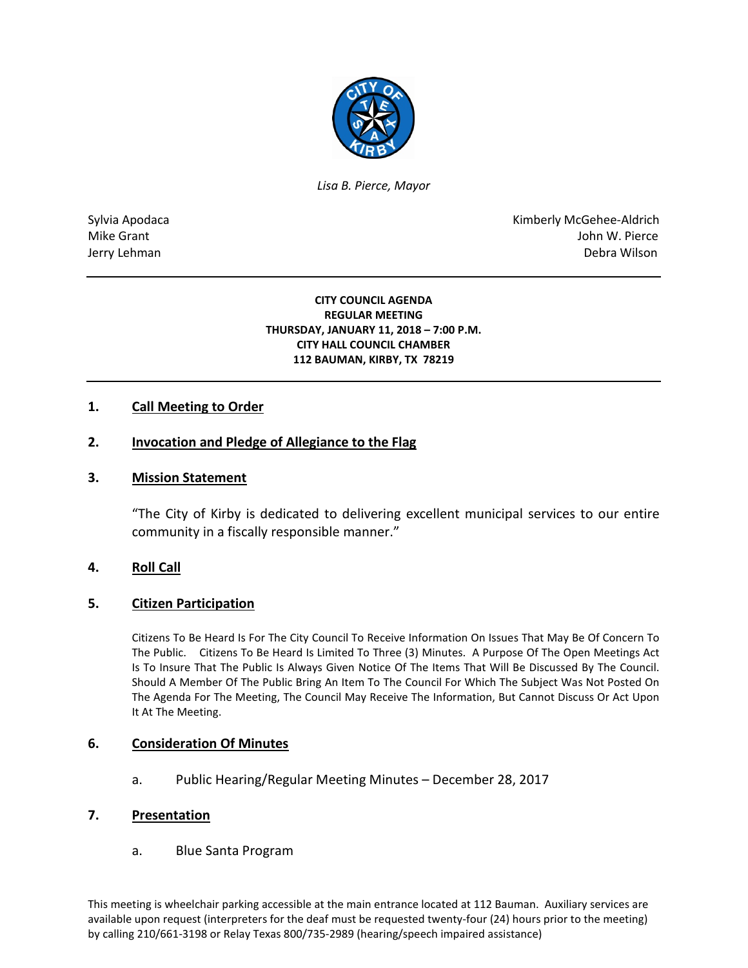

*Lisa B. Pierce, Mayor* 

Sylvia Apodaca National Apodaca Kimberly McGehee-Aldrich Mike Grant John W. Pierce Jerry Lehman Debra Wilson (2008) and the state of the state of the state of the state of the state of the state of the state of the state of the state of the state of the state of the state of the state of the state of the

#### **CITY COUNCIL AGENDA REGULAR MEETING THURSDAY, JANUARY 11, 2018 – 7:00 P.M. CITY HALL COUNCIL CHAMBER 112 BAUMAN, KIRBY, TX 78219**

## **1. Call Meeting to Order**

## **2. Invocation and Pledge of Allegiance to the Flag**

### **3. Mission Statement**

"The City of Kirby is dedicated to delivering excellent municipal services to our entire community in a fiscally responsible manner."

### **4. Roll Call**

### **5. Citizen Participation**

Citizens To Be Heard Is For The City Council To Receive Information On Issues That May Be Of Concern To The Public. Citizens To Be Heard Is Limited To Three (3) Minutes. A Purpose Of The Open Meetings Act Is To Insure That The Public Is Always Given Notice Of The Items That Will Be Discussed By The Council. Should A Member Of The Public Bring An Item To The Council For Which The Subject Was Not Posted On The Agenda For The Meeting, The Council May Receive The Information, But Cannot Discuss Or Act Upon It At The Meeting.

### **6. Consideration Of Minutes**

a. Public Hearing/Regular Meeting Minutes – December 28, 2017

### **7. Presentation**

a. Blue Santa Program

This meeting is wheelchair parking accessible at the main entrance located at 112 Bauman. Auxiliary services are available upon request (interpreters for the deaf must be requested twenty-four (24) hours prior to the meeting) by calling 210/661-3198 or Relay Texas 800/735-2989 (hearing/speech impaired assistance)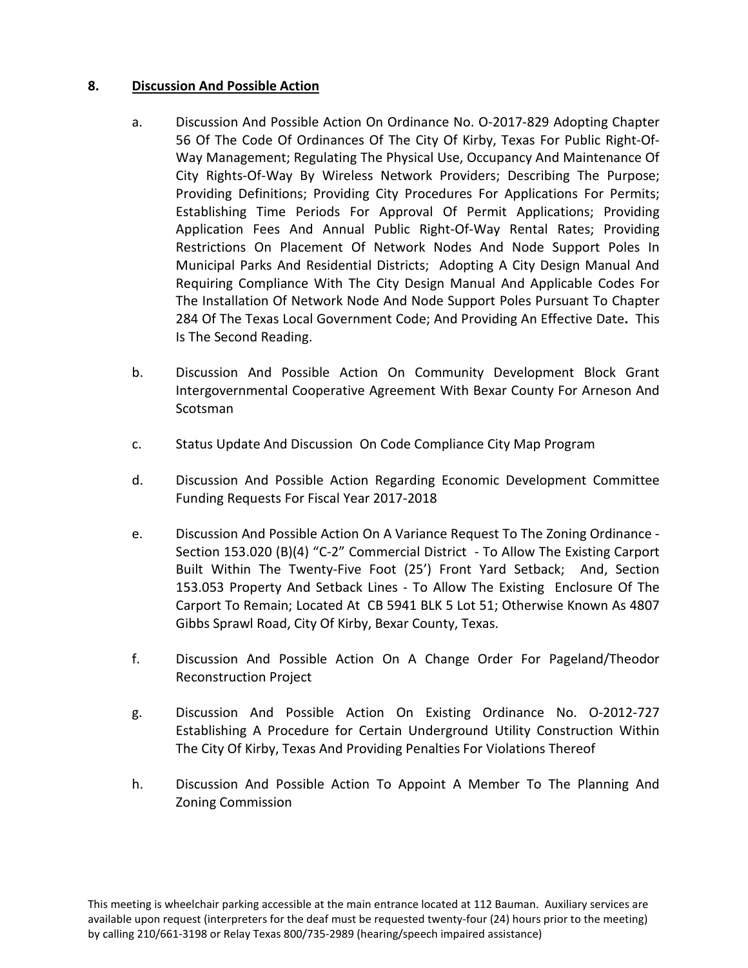# **8. Discussion And Possible Action**

- a. Discussion And Possible Action On Ordinance No. O-2017-829 Adopting Chapter 56 Of The Code Of Ordinances Of The City Of Kirby, Texas For Public Right-Of-Way Management; Regulating The Physical Use, Occupancy And Maintenance Of City Rights-Of-Way By Wireless Network Providers; Describing The Purpose; Providing Definitions; Providing City Procedures For Applications For Permits; Establishing Time Periods For Approval Of Permit Applications; Providing Application Fees And Annual Public Right-Of-Way Rental Rates; Providing Restrictions On Placement Of Network Nodes And Node Support Poles In Municipal Parks And Residential Districts; Adopting A City Design Manual And Requiring Compliance With The City Design Manual And Applicable Codes For The Installation Of Network Node And Node Support Poles Pursuant To Chapter 284 Of The Texas Local Government Code; And Providing An Effective Date**.** This Is The Second Reading.
- b. Discussion And Possible Action On Community Development Block Grant Intergovernmental Cooperative Agreement With Bexar County For Arneson And Scotsman
- c. Status Update And Discussion On Code Compliance City Map Program
- d. Discussion And Possible Action Regarding Economic Development Committee Funding Requests For Fiscal Year 2017-2018
- e. Discussion And Possible Action On A Variance Request To The Zoning Ordinance Section 153.020 (B)(4) "C-2" Commercial District - To Allow The Existing Carport Built Within The Twenty-Five Foot (25') Front Yard Setback; And, Section 153.053 Property And Setback Lines - To Allow The Existing Enclosure Of The Carport To Remain; Located At CB 5941 BLK 5 Lot 51; Otherwise Known As 4807 Gibbs Sprawl Road, City Of Kirby, Bexar County, Texas.
- f. Discussion And Possible Action On A Change Order For Pageland/Theodor Reconstruction Project
- g. Discussion And Possible Action On Existing Ordinance No. O-2012-727 Establishing A Procedure for Certain Underground Utility Construction Within The City Of Kirby, Texas And Providing Penalties For Violations Thereof
- h. Discussion And Possible Action To Appoint A Member To The Planning And Zoning Commission